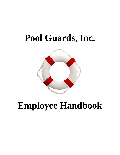# **Pool Guards, Inc.**



# **Employee Handbook**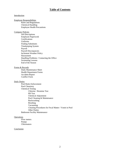## **Table of Contents**

#### Introduction

#### Employee Responsibilities

Rules and Regulations Chemical Handling Employee Health Precautions

#### Company Policies

Job Descriptions Employee Paperwork **Certifications** Uniforms Finding Substitutes Timekeeping System Payroll Payroll Discrepancies Inclement Weather Policy Harassment Handling Problems / Contacting the Office Swimming Lessons End of the Season

#### Forms & Records

Daily Maintenance Sheet Health Department Forms Accident Report Conflict Form

#### Daily Duties

Pool Rules Enforcement Pool Chemistry Chemical Testing Chlorine / Bromine Test PH Test Chemical Adjustment Pool Cleaning & Maintenance Backwashing Brushing Vacuuming Cleaning Procedures for Fecal Matter / Vomit in Pool Other Duties Bathroom Facility Maintenance

#### **Operations**

Flow meters Pumps **Chlorinators** 

#### Conclusion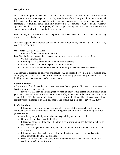# **Introduction**

Our swimming pool management company, Pool Guards, Inc. was founded by Australian Olympic swimmer Ross Seymour . Mr. Seymour is one of the Chicagoland's most experienced full-service pool managers, specializing in personnel, renovations, repairs, and management of commercial swimming pools, primarily homeowner associations. Our company currently operates roughly 65 association pools, of which approximately 50 are staffed. We also service and maintain roughly 40 residential in-ground pools.

Pool Guards, Inc. is comprised of Lifeguards, Pool Managers, and Supervisors all working together in one united team.

Our main objective is to provide our customers with a pool facility that is 1. SAFE, 2. CLEAN, and 3. ENJOYABLE

## **OUR MISSION STATEMENT:**

Pool Guards Inc.'s Mission Statement

Pool Guards, Inc. main objective is to provide the best possible service to every client.

- We are committed to:
- Providing a safe swimming environment for our patrons
- Creating a rewarding work experience for our employees
- Treating our customers with respect and providing an excellent customer service

This manual is designed to help you understand what is expected of you as a Pool Guards, Inc. employee, and it gives you basic information about company policies and procedures. We are looking forward to a very successful and safe season.

#### **Communication:**

All members of Pool Guards, Inc.'s team are available to you at all times. We are open to hearing your ideas and suggestions.

If you feel that there is anything that we need to know about, please do not hesitate to let your pool manager know. It is everyone's responsibility to ensure that the pools run as smoothly as possible. Effective communication is a great way to facilitate this. If necessary, please contact your pool manager on their cell phone, and contact our main office at 630-692-1500.

#### **Professionalism:**

Lifeguards have a professional responsibility to provide the safest, cleanest, and most courteous pool facility environment. As such, lifeguards should follow the following rules for professionalism.

- Absolutely no profanity or abusive language while you are at the pool
- Obey all driving laws near the facility.
- Lifeguards cannot visit the pool when they are not working, unless they are members of the Association.
- All pools managed by Pool Guards, Inc. are completely off limits outside of regular hours of operation.
- Lifeguards must always clear the pool before leaving at closing. Lifeguards must also make sure that all bathrooms are clear.
- Use of drugs or alcohol that could affect judgment or performance while at work will result in immediate termination.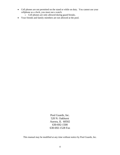- Cell phones are not permitted on the stand or while on duty. You cannot use your cellphone as a clock, you must use a watch.
	- o Cell phones are only allowed during guard breaks.
- Your friends and family members are not allowed at the pool.

Pool Guards, Inc. 520 N. Oakhurst Aurora, IL 60502 630-692-1500 630-692-1528 Fax

This manual may be modified at any time without notice by Pool Guards, Inc.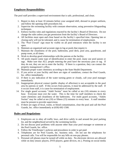# **Employee Responsibilities**

The pool staff provides a supervised environment that is safe, professional, and clean.

- 1. Report to duty at least 10 minutes before your assigned shift, dressed in proper uniform, and follow the opening shift procedures list.
- 2. Supervise the swimming facility with constant observation, using preventive lifeguarding techniques.
- 3. Enforce facility rules and regulations enacted by the facility's Board of Directors. Do not change the rules unless you get permission from the facility's Board of Directors.
- 4. All facilities must open and close based on the facility's specified time. Opening late or closing early will not be tolerated, and is cause for termination of employment.
- 5. The "Pool Closed" sign must be visible on all pool entrances when the facility is not open.
- 6. Maintain an organized and accurate sign-in log at pools that require it.
- 7. Maintain the cleanliness of the pool, bathrooms, pool deck, pool area, guardroom, and pump room, at all times.
- 8. Work to develop good relationships with the patrons at the facility.
- 9. All pools require some type of identification to enter the pool, many use pool passes or tags. Make sure that ALL people entering the pool have the necessary pass or tag. If they do not, they are not to enter the facility. If there is a question, they can contact the property management's office.
- 10. Maintain proper water chemistry according to the State Health Department.
- 11. If you arrive at your facility and there are signs of vandalism, contact the Pool Guards, Inc. office immediately.
- 12. If there is any indication of the water turning green or cloudy, call your pool manager immediately.
- 13. Inappropriate physical contact (public display of affection) is not acceptable in the pool area by patrons or staff. If this occurs from patrons, it must be addressed by the staff. If it occurs from staff, it is cause for termination of employment.
- 14. For single guard accounts "Adult Swims" must be called at ten (10) minutes to every hour. Everyone must exit the water. This is the time for staff members to check the water chemistry and cleanliness of the bathrooms. For multi guard accounts, "Adults Swims" may be called at ten (10) or fifteen (15) minutes to every hour. A staff member must be present to provide supervision.
- 15. If there are signs of fecal, vomit, or blood contamination, clear the pool and call the Pool Guards, Inc. office immediately at (630) 692-1500.

# **Rules and Regulations**

- 1. Employees are to obey all traffic laws, and drive safely in and around the pool parking lot, and the neighborhood served by the swimming facility.
- 2. Do not discuss pool problems with anyone other than your pool manager or someone at the Pool Guards, Inc. office.
- 3. Follow the TimeKeeper's policies and procedures in order to get paid.
- 4. Telephones are for Pool Guards, Inc. business only. Do not use the telephones for personal calls. You will be responsible for any bills on non-pay phones.
- 5. Personal cell phones must be turned off while on duty. No electronic devices are allowed while on duty (music players, DVD players, game devices, etc.). Posting on social media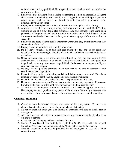while at work is strictly prohibited. No images of yourself or others shall be posted at the pool while on duty.

- 6. Employees must lifeguard from a sitting or standing position at appropriate lifeguard chair/stations as dictated by Pool Guards, Inc. Lifeguards not surveilling the pool in a proper manner shall be subject to disciplinary action/immediate termination to be determined by PGI personnel.
- 7. Employees must completely clear the pool area before leaving the pool at closing.
- 8. Any use of alcohol or other drugs before, or during work hours is prohibited. Vaping, smoking or use of e-cigarettes is also prohibited. Any staff member found using or in possession of drugs or alcohol while on duty, or working under the influence will be dismissed immediately. The use of profanity or abusive language while at the pool is not acceptable.
- 9. Employees are not to visit the pool(s) where they work when they are off duty unless they are members of the pool.
- 10. Employees are not permitted at the pool(s) after hours.
- 11. Do not leave valuables in an unlocked area during the day, and do not leave any valuables at the pool overnight. Pool Guards, Inc. will not be held responsible for lost or stolen items.
- 12. Under no circumstances are any employees allowed to leave the pool during his/her scheduled shift. Employees are to come to work prepared for the day. Leaving the pool to get lunch, or for any other reason, is prohibited. In the event an emergency, call your pool manager from the pool.
- 13. No dogs or other pets are permitted in the pool area at any time in accordance with Health Department regulations.
- 14. If your facility is equipped with a lifeguard chair, it is for employee use only! There is no jumping off the lifeguard chair by anyone in a non-emergency situation.
- 15. Under no circumstances are patrons allowed in the guardroom or filter area.
- 16. Under no circumstances are staff members to make comments to the media. If someone from the media appears at the pool, have them contact the Pool Guards office.
- 17. All Pool Guards employees are required to purchase and wear the appropriate uniform. New employees must purchase every piece of the uniform. Returning employees may reuse uniforms from prior years, however the uniform must be in acceptable condition.

## **Chemical Handling**

- 1. Chemicals must be labeled properly and stored in the pump room. Do not leave chemicals on the deck at any time. Do not mix chemicals together.
- 2. Do not let chemicals touch your skin. Handle all chemicals with care, and make sure to wear gloves.
- 3. All chemicals need to be stored in proper containers with the corresponding label in areas off limits to patrons.
- 4. Chemicals must be segregated by hazard classification.
- 5. Material Safety Data Sheets (MSDS), as required by OHSA, are provided in the pool forms bin. You must read and understand the MSDS before handling a chemical.
- 6. Personal protective equipment is provided for all employees in case of a blood contamination.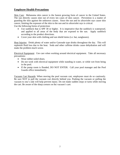# **Employee Health Precautions**

Skin Care: Melanoma skin cancer is the fastest growing form of cancer in the United States. The sun directly causes nine out of every ten cases of skin cancer. Prevention is a matter of guarding the skin against the unknown causes. Since the sun and its ultraviolet rays cause skin cancer, limiting the exposure of the skin to the sun and its ultraviolet rays is critical. Use the following forms of protection:

- Use sunblock that is SPF 30 or higher. It is imperative that the sunblock is waterproof, and applied to all areas of the body that are exposed to the sun. Apply sunblock according to the product directions.
- Cover your skin with clothing and sun shield items (i.e. hat, sunglasses).

Heat Injuries: Drink plenty of water and/or Gatorade type drinks throughout the day. This will replenish fluid loss due to the heat. Soda and other caffeine drinks cause dehydration and will make the problem much worse.

Electrical Equipment: Use care when working around electrical equipment. Take all necessary precautions:

- Wear rubber-soled shoes.
- Do not work with electrical equipment while standing in water, or while wet from being in the pool.
- If the pump room is flooded, DO NOT ENTER. Call your pool manager and the Pool Guards office immediately.

Vacuum Cart Hazards: When moving the pool vacuum cart, employees must do so cautiously. Be sure NOT to pull the vacuum cart directly behind you. Pushing the vacuum or pulling the vacuum to one's side will help prevent injury. Do not make sudden stops or turns while moving the cart. Be aware of the sharp corners on the vacuum's cart.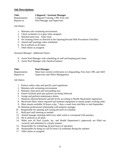## **Job Descriptions**

| <b>Title:</b> | <b>Lifeguard / Assistant Manager</b> |
|---------------|--------------------------------------|
| Requirements: | Lifeguard Training, CPR, First-Aid   |
| Reports to:   | Pool Manager and Supervisor          |

*Job Duties:*

- 1. Maintain safe swimming environment.
- 2. Check swimmers in at gate when assigned.
- 3. Maintain pool area keep clean.
- 4. Do cleaning chores as directed in the Opening/Second Shift Procedures Checklist.
- 5. Attend staff meetings when scheduled.
- 6. Be in uniform at all times.
- 7. Other duties as assigned.

#### *Assistant Manager: Additional Duties*

- 8. Assist Pool Manager with scheduling of staff and keeping pool clean.
- 9. Assist Pool Manager with chemical balance.

| <b>Title:</b> | <b>Pool Manager</b>                                                      |
|---------------|--------------------------------------------------------------------------|
| Requirements: | Must have current certification in Lifeguarding, First-Aid, CPR, and AED |
| Reports to:   | Supervisor and Office Management                                         |

#### *Job Duties:*

- 1. Enforce safety rules and specific pool regulations.
- 2. Maintain safe swimming environment.
- 3. Maintain clean pool and surrounding area.
- 4. Ensure facilities pool pass policies are being followed.
- 5. Assign and perform maintenance duties.
- 7. Maintain chlorine/bromine and pH levels according to Health Department regulations.
- 8. Backwash filters where required and maintain equipment to ensure proper working order.
- 9. Must remain available 24 hours a day, 7 days a week from mid-May to mid-September.
- 10. Maintain professional relationship with property manager.
- 10. Responsible for opening and closing the pool on schedule.
- 11. Hold pool staff meeting as needed.
- 12. Attend manager meetings held every other week to correspond with paydays.
- 13. Be in uniform at all times.
- 14. Make sure all Pool Guards, Inc. and Health Department's paperwork are filled out correctly and submitted in a timely manner.
- 15. Responsible for scheduling all pool hours of operation.
- 16. Responsible for being on-call for three (3) weekends during the summer.
- 17. Other duties as assigned.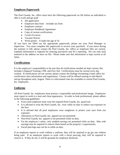# **Employee Paperwork**

The Pool Guards, Inc. office must have the following paperwork on file before an individual is able to work and get paid:

- Job application
- Employee data form includes tax form
- Employee contract
- Employee Handbook Agreement
- Copy of current certifications
- Covid-19 waiver
- Vacuum Waiver
- Work permit if under the age of 16

tIf you have not filled out the appropriate paperwork, please see your Pool Manager or Supervisor. You must complete this paperwork to receive your paycheck. If you move during the summer or fall, please contact the Pool Guards, Inc. office so employee files are current. Updated information is required for entering paychecks and W-2 reporting. We can only mail material to the address we have on file. Please make sure this information is kept current at all times.

# **Certifications**

It is the employee's responsibility to be sure that all certifications needed are kept current; this includes Lifeguard Training, CPR, and First Aid. Certifications must be current every day worked. If certifications are not current, please contact the DuPage Swimming Center office for certification class information and registration. Classes will be offered starting in mid-March and go throughout early August. There is a discounted class fee available to current Pool Guards, Inc. employees.

# **Uniforms**

All Pool Guards, Inc. employees must portray a responsible and professional image. Employees must report to work in a neat and clean appearance. In order to look professional, please adhere to the following guidelines:

- Every pool employee must wear the required Pool Guards, Inc. guard suit.
- It is advised to wear the Pool Guards, Inc. visor while on duty to reduce sun exposure on the face.
- It is advised that all pool employees wear sunglasses to protect your eyes from sun exposure.
- Alterations to Pool Guards, Inc. apparel are not permitted.
- Non-Pool Guards, Inc. apparel is not permitted while on duty.
- For the employee's safety, only studded earrings are permitted while on duty. Men with earrings may be required to remove them based on the property's requirements.
- Facial piercings may not be in while on duty.

If an employee reports to work without a uniform, they will be required to go get one without being paid. If an employee reports to work with a facial piercing, they will be required to remove it. If they do not, it will be grounds for employee dismissal.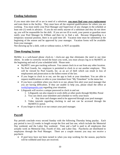# **Finding Substitutes**

If you must take time off or are in need of a substitute, **you must find your own replacement** and train them to the facility. They must have all the required qualifications for where you are working. You must notify your Pool Manager and Supervisor of any changes in the schedule at least one (1) week in advance. If you do not notify anyone of a substitute and they do not show up, you will be responsible for the shift. If you are too ill to work, your parent or guardian must notify your Pool Manager by 8:00am and then try to find a sub. Because lifeguarding is a temporary seasonal position, there is no paid time off. Vacation time must be submitted at the beginning of the season and be approved by your manager. Vacation forms will be available from your manager.

Not showing up for a shift, with or without notice, is NOT acceptable.

# **Time-Keeping System**

MyMitc is a web-based phone clock-in / clock-out app that eliminates the need to use time sheets. In order to correctly record the hours you work, you must always log in to MyMITC at the beginning and end of your scheduled shift. Please note:

- MyMITC uses geo tracking software. You cannot clock in or out from any other location.
- No Pool Guards, Inc. employee is permitted to clock in or out another employee. This will be viewed by Pool Guards, Inc. as an act of theft which can result in loss of employment and prosecution to the fullest extent of the law.
- If you forget to clock in or out, use the app to look at your timesheet. You are able to request modifications or edits to your timesheet from "My Timesheet" in the menu bar.
- If you have a problem when you clock in or out, please first alert your pool manager that you are having difficulties. If they are unable to help you, please email the office at [work@spmspools.com](mailto:work@spmspools.com) regarding your situation.
- Lifeguards will receive a unique password to clock in and out
	- 1. Lifeguards can also request to work shifts at other pools through MyMitc Portal
	- 2. You can check your timesheet and schedule to verify your hours
		- Any time card changes need to be approved through your pool manager
	- 3. Video tutorials regarding clocking in and out can be accessed through the MyMITCU portal.
- If you forget to clock in or out contact your pool manager.

# **Payroll**

Pay periods conclude every second Sunday with the following Thursday being payday. Each pay period is two (2) weeks in length except the first and last one, which include the Memorial Day weekend, and the Labor Day weekend. Time and a half is paid to all employees that actually work on Memorial Day, Fourth of July, and Labor Day. Paychecks are distributed to employees through the Pool Manager. There are a couple reasons you may not receive a paycheck:

• If pool keys have not been turned in when you stop working for the season, paychecks will be withheld until keys are received.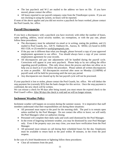- The last paycheck and W-2 are mailed to the address we have on file. If you have moved, please contact the office.
- All hours reported to our payroll company come from the TimeKeeper system. If you are not clocking in using the system, no hours will be reported.

If none of the above applies and you did not receive a paycheck for hours worked, please contact the Pool Guards, Inc. office.

# **Payroll Discrepancies**

If you have a discrepancy with a paycheck you have received, with either the number of hours, name spelling, address, social security number, tax exemptions, or with the pay rate, please follow these procedures:

- The discrepancy must be submitted via email or in writing, stating the problem, and (1) mailed to Pool Guards, Inc., 520 N. Oakhurst Dr., Aurora, IL 60502, (2) faxed to (630) 692-1528, or (3) emailed to *[work@spmspools.com](mailto:work@spmspools.com)* .
- If the pay rate is different than what you thought, please forward a copy of your approved employment agreement to our office. You should always have a copy of your current employment agreement for your records.
- All discrepancies and pay rate adjustments will be handled during the payroll cycle. Corrections will appear in your next paycheck. Please help us by not calling the office regarding payroll problems. This only slows down the process and does not allow us to help you as much as if you follow the procedure. Please submit all written discrepancies as soon as possible. All discrepancies received after noon on Monday (12:00PM) of payroll week will be held for processing until the next pay period.
- Any discrepancies not cleared up by the last payroll cycle will not be processed.

If your paycheck is lost or stolen, please contact the Pool Guards, Inc. office. We will deduct the stop payment fee (currently \$35) that the bank charges for this service. Once the stop payment is confirmed, the new check will be written.

We can reissue a check for 90 days after being issued; you must return the expired check to the Pool Guard's office. After 90 days the check is void and we will no longer reissue.

# **Inclement Weather Policy**

Inclement weather will happen on occasion during the summer season. It is imperative that staff members understand what their responsibilities are during these situations:

- All personnel must report to the pool for the morning shift. The pool is to remain open unless notified by the Pool Manager. Do not contact the office to leave; we will notify the Pool Managers when we authorize closing.
- Personnel will complete their daily tasks and work until dismissed by the Pool Manager.
- In the event of lingering inclement weather, you may be dismissed by your Pool Manager only. Even if the property says you may close, you must have verification from the Pool Manager.
- All personnel must remain on call during their scheduled hours for the day. Employees must be available to return back to the pool within 30 minutes, in the event the pool reopens.

In the case of a brief thunderstorm or lightning follow these procedures:

• Clear all swimmers from the pool.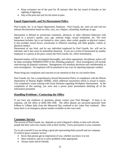- Keep swimmers out of the pool for 30 minutes after the last sound of thunder or last sighting of lightning.
- Stay at the pool and wait for the storm to pass.

## **Equal Opportunity and No Harassment Policy**

Pool Guards, Inc. is an Equal Opportunity Employer. Pool Guards, Inc. does not and will not tolerate discrimination based on color, race, sex, religion, citizenship, handicap, or age.

Harassment is defined as unwelcome comments, advances, or other offensive behaviors with regard to a person's gender, race, age, national origin, sexual orientation, etc. The term harassment includes, but is not limited to, slurs, jokes, other verbal, graphic or physical contact. It also includes sexual favors, unwelcome or offensive touching, and other graphic, verbal, or physical conduct.

Harassment of any kind, and by any individual employed by Pool Guards, Inc. will not be tolerated, and is due cause for immediate dismissal. If you are a victim of harassment by another employee or a patron at the pool, contact the Pool Guards, Inc. office immediately.

Reported matters will be investigated thoroughly, and where appropriate, disciplinary action will be taken including TERMINATION of the offending employee. Such investigation will include interviewing all potential witnesses. Management will maintain discretion and confidentiality in such investigation. No employee will be penalized in any way for reporting improper conduct.

Please bring any complaints and concerns to our attention so that we can resolve them.

Pool Guards, Inc. has a comprehensive Sexual Harassment Policy in compliance with the Illinois Department of Human Rights (IDHR), which addresses harassment which is sexual in nature. You completed a zoom training with Grant Simmons regarding Workplace Harrassment. At the completion of this training, you were sent a power point presentation detailing all of the information presented.

## **Handling Problems / Contacting the Office**

If you have any problems or questions, please contact your Pool Manager. If there is no response, call the office at (630) 692-1500. The office phones are answered generally from 9:00am to 5:00pm daily from the Memorial Day weekend to the Labor Day weekend. After hours there is an emergency phone number available on the voice mail.

## **Customer Service**

The success of Pool Guards, Inc. depends on each Lifeguard's ability to deal well with the people that they come into contact with at their facility. Every pool patron is your customer.

Try to ask yourself if you are doing a good job representing both yourself and our company. To achieve great customer service:

- Know that patrons get an impression of you, whether you know it or not
- Show initiative, and try to solve problems when appropriate
- Always smile and be friendly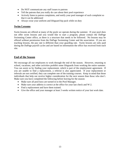- Do NOT communicate any staff issues to patrons
- Tell the patrons that you really do care about their pool experience
- Actively listen to patron complaints, and notify your pool manager of such complaint so that it can be addressed
- Always wear your uniform and lifeguard hip pack while on duty

## **Swim Lessons**

Swim lessons are offered at many of the pools we operate during the summer. If your pool does not offer swim lessons and you would like to start a program, please contact the DuPage Swimming Center office, as there is a structure that needs to be followed. No lessons may be offered without permission from the DuPage Swimming Center and the association. If you are teaching lessons, the pay rate is different than your guarding rate. Swim lessons are only paid during the DuPage payroll cycles and are based on information the office has received from each site.

# **End of the Season**

We encourage all our employees to work through the end of the season. However, returning to school, vacations, and other activities prohibit some lifeguards from working the entire summer. You can assist us by finding your replacement, which is part of the employment agreement. If you are unable to find a replacement, a referral is also appreciated. If your replacement or referrals are not certified, they can complete one of the training courses. Keep in mind that those individuals that help out receive higher consideration for the next season than those who don't. Make sure you have completed the following before leaving for the season:

- Make sure all pool keys are turned in to the Pool Manager.
- Make sure your address is correct at the office for your last check and W-2.
- Find a replacement and have them trained.
- Give the office and your manager at least 3 weeks written notice of your last work date.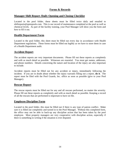# **Forms & Records**

## **Manager Shift Report /Daily Opening and Closing Checklist**

Located in the pool folder, these sheets must be filled twice daily and emailed to shiftreports@spmspools.com. This is our record of maintenance completed at the pool as well as chemical levels. As part of the facility training, your Pool Manager will show you the form and how to fill it out.

## **Health Department Form**

Located in the pool folder, this sheet must be filled out every day in accordance with Health Department regulations. These forms must be filled out legibly as we have to store them in case of a Health Department audit.

## **Accident Report**

The accident reports are very important documents. Please fill out these reports as completely and with as much detail as possible. Witnesses are essential. You must get names, addresses, and phone numbers. Details concerning the nature and location of the injury are also important to include.

Accident reports must be filled out for any accident or injury, immediately following the incident. If you are in doubt about whether the injury warrants filling out a report, **do it**. The report must be filed with the Pool Guards, Inc. office as soon as possible (give to your Pool Manager).

# **Rescue Report**

The rescue reports must be filled out for any and all rescues performed, no matter the severity. Please fill out these reports as completely and with as much detail as possible. Keeping a record of all the rescues that are performed is important to have on file.

## **Employee Discipline Form**

Located in the pool folder, this must be filled out if there is any type of patron conflict. Make sure it is filled out completely and turned in to the Pool Manager. Without this completed form, the office may not be able to back-up any discipline action that has been taken by the pool employee. Most property managers are very cooperative with discipline action, especially if there is something in writing if the situation is ever disputed.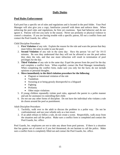# **Daily Duties**

# **Pool Rules Enforcement**

Each pool has a specific set of rules and regulations and is located in the pool folder. Your Pool Manager will also give you a copy; familiarize yourself with them and enforce them. When enforcing the pool rules and regulations, be firm yet courteous. Spot bad behavior and do not ignore it. Patrons will test you early in the season. Never use profanity or physical violence to control a situation. If you are having trouble with a specific patron, fill out a conflict form and contact the Pool Guards, Inc. office.

Child Discipline Procedure:

- 1. **First Violation** of any rule: Explain the reason for the rule and warn the person that they must follow the rules in order to use the pool.
- 2. **Second Violation** of any rule in the same day: Have the person "sit out" for 10-15 minutes. Be sure they understand that they will not be allowed to use the pool unless they obey the rule, and that one more infraction will result in termination of pool privileges for the day.
- 3. **Third Violation** of any rule in the same day: Expel the person from the pool for the day and complete a conflict form. When expelled, contact the Pool Manager immediately. When completing the conflict form, make sure you only list the facts; do not include opinions or personal thoughts.

## 4. **Move immediately to the third violation procedure for the following**:

- Flagrant or intentional violation of the rule
- Vandalism
- Swearing at or being grossly disrespectful to a lifeguard
- Fighting
- Profanity
- Other major violations
- 5. If young children repeatedly violate pool rules, approach the parent in a polite manner and ask for assistance in controlling their child.
- 6. Do not use any other forms of discipline. Do not have the individual who violates a rule do chores around the pool as punishment.

Adult Discipline Procedure:

- 1. Tactfully, walk over to the adult to discuss the problem in a polite way. Do not be confrontational, and use your whistle only as a last resort.
- 2. If an adult refuses to follow a rule, do not create a scene. Respectfully, walk away from the situation and call the police. Make sure a conflict form is completed and contact the Pool Guards, Inc. office.

Pool Guards, Inc. employees are not to take any abuse from pool patrons. If there is a situation that has gotten out of control or if you feel threatened, do not hesitate to call the police. Make sure a conflict form is completely filled out and contact the Pool Guards, Inc. office.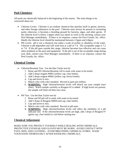# **Pool Chemistry**

All pools are chemically balanced in the beginning of the season. The main things to be concerned about are:

- Chlorine Levels: Chlorine is an oxidizer chemical that attaches itself to germs, bacteria, and other foreign substances in the pool. Chlorine must always be present in swimming pools; otherwise, it becomes a breeding ground for bacteria, algae, and other germs. If the chlorine level is below 1.0ppm when you report to work in the morning, contact your Pool Manager immediately. If there is no response, contact the Pool Guards, Inc. office. Ideally the chlorine level should be maintained between 2.5ppm and 4.0ppm.
- PH Levels: pH is not a chemical, but rather a scale of acidity or alkalinity of the water. Chlorine is pH dependent and will work best at a pH of 7.4. The acceptable range is 7.2 to 7.8. If the pH goes outside this range, chlorine becomes less effective and can cause other problems to the pool and equipment. If the pH is out of the acceptable range during your shift, contact your Pool Manager immediately. If there is no response, contact the Pool Guards, Inc. office.

# **Chemical Testing**

- Chlorine/Bromine Test: Use the blue Taylor test kit
	- 1. Rinse and fill Chlorine/Bromine cell to mark with water to be tested.
	- 2. Add 5 drops reagent #0001 (yellow cap, clear bottle).
	- 3. Add 5 drops reagent #0002 (yellow cap, brown bottle).
	- 4. Cap and invert to mix.
	- 5. Match color with color standard. Record as parts per million.
	- 6. **WARNING:** High chlorine/bromine levels will bleach out your sample (turn clear). Watch sample carefully as Reagent #2 is added. If high levels are present, the sample will flash red then turn clear.
- PH Test: Use the blue Taylor test kit
	- 1. Rinse and fill pH cell to mark with water to be tested.
	- 2. Add 5 drops of Reagent #0004 (red cap, clear bottle)
	- 3. Cap and invert to mix.
	- 4. Match color with color standard. Record as pH units.
	- **5. WARNING:** High chlorine/bromine levels will affect the reliability of a pH indicator test. If the chlorine/bromine levels are high, add 2 drops of Reagent #7 (green cap, clear bottle) to vial before starting test.

# **Chemical Adjustment**

MAKE SURE YOU PROTECT YOURSELF WHILE DEALING WITH CHEMICALS. PROTECTIVE EYEWEAR AND GLOVES MUST BE WORN. AVOID CONTACT WITH EYES, SKIN, AND CLOTHING. AVOID BREATHING CHEMICAL FUMES. WASH YOUR HAND THOROUGHLY AFTER HANDLING CHEMICALS.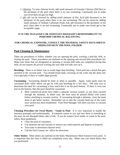- 1. Chlorine: To raise chlorine levels, add small amounts of Granular Chlorine (DiChlor) to the perimeter of the pool when there is no one swimming. Continually test to make sure level does not get too high.
- 2. pH: pH can be lowered by adding small amounts of Dry Acid (pH decreaser) to the perimeter of the pool when there is no one swimming. PH can be raised by adding small amounts of Sodium Carbonate (Soda Ash, pH increaser) to the perimeter of the pool when there is no one swimming. Continually test to make sure levels get to the acceptable range.

#### **IT IS THE MANAGER'S OR ASSISTANT MANAGER'S RESPONSIBILITY TO PERFORM CHEMICAL BALANCING.**

## **FOR CHEMICAL EXPOSURE, CONSULT THE MATERIAL SAFETY DATA SHEETS (MSDS) FOUND IN THE POOL FOLDER!**

# **Pool Cleaning & Maintenance**

There are procedures to follow whether you are opening the pool, working a mid-day shift, or closing the pool. These procedures are outlined on the opening and second shift procedures list. Make sure items that are designated as opening or second shift tasks are completed during that shift, *do not assume the person working the next shift will take care of it*.

**Brushing:** There is no better way to avoid algae than brushing. Each pool has a brush that gets attached to the vacuum pole. You should brush daily, focusing on the walls and the deep end. Use especially if there is visible algae growth.

**Vacuuming:** Vacuuming should be done as often as possible. Again, some pools must be vacuumed daily while others can get by with just brushing for a few days. The only way to determine the need for vacuuming is how much dirt is on the pool bottom. If there is even one leaf on the bottom, then the pool should be vacuumed.

• Most commercial pools have either a separate vacuum system, or you must vacuum through the skimmer. In either case, the hose must be primed (filled with water) before attaching to vacuum suction. If vacuuming through a skimmer, close the main drain to get better suction. Remember not to take the vacuum head out of the water once suction has been established. Your Pool Manager will show you how to vacuum your pool.

**Cleaning Procedure for Fecal Matter / Vomit in Pool:** It is very important to handle the situation promptly and professionally. If someone comes to you and says there is something in the pool, do not disregard them; take a look. If you do suspect fecal matter or vomit in the pool, follow these guidelines:

- Clear the pool of swimmers.
- Use skimmer net and vacuum to remove any solid material and dispose of properly.
- Test water to determine chlorine level.
- Call the Pool Guards, Inc. office for directions.

**Other Duties:** Other duties are outlined on the Daily Maintenance Sheet found at every pool. It is important that this form is filled out completely every day. Make sure you initial duties that you performed.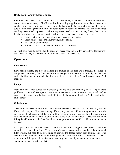# **Bathroom Facility Maintenance**

Bathrooms and locker room facilities must be hosed down, or mopped, and cleaned every hour and as often as necessary. SPMS provides the cleaning supplies for most pools, so make sure you have the necessary items to clean. For pools that provide their own cleaning supplies, make sure the Pool Manager is notified if additional items are needed or running low. Bathrooms that are dirty make a bad impression, and in many cases, results in our company losing the account for the following year. You must do the following every day and as often as needed:

- Inspect bathrooms for loose debris such as paper, trash, etc.
- Clean sinks, toilets, urinals, mirrors, and counters.
- Hose down or mop floor.
- Follow all COVID-19 cleaning procedures as directed.

All trash cans must be emptied and cleaned out every day, and as often as needed. Hot summer days make for very nasty trash, but not if taken care of and cleaned up.

## **Operations**

#### **Flow Meters**

Flow meters display the flow in gallons per minute of the pool water through the filtration equipment. However, the flow meters sometimes get stuck. You may carefully tap the pipe under the flow meter to knock the flow bead loose. If that doesn't work contact your Pool Manager.

#### **Pumps**

Make sure you check pumps for overheating and any loud and straining noises. Report these problems to your Pool Manager or Supervisor immediately. Many times the pump may have lost prime. If the gauges on the filter read "0", turn off the pump and call the Pool Guards office immediately.

#### **Chlorinators**

The chlorinators used at most of our pools are called erosion feeders. The only way they work is if the pool pump and filters are running. If the pump has been off for a long period of time, do not remove the chlorinator lid due to a build up of toxic fumes. Because the chlorinators work with the pump, do not take the lid off while the pump is on. If your Pool Manager trains you on filling the chlorinator, only then should you attempt to remove the lid or add chlorine tablets to the feeder.

A couple pools use chlorine feeders. Chlorine is fed from a large bucket through a chlorine pump into the pool filter lines. These types of feeders operate independently of the pump and filter system, but need to be kept filled to prevent the feeder motor from burning out. The chemical mix in the bucket is a mixture of granular chlorine and water. If your Pool Manager trains you on filling the chlorine feeder bucket, only then should you attempt to remove the lid or add granular chlorine to the bucket.